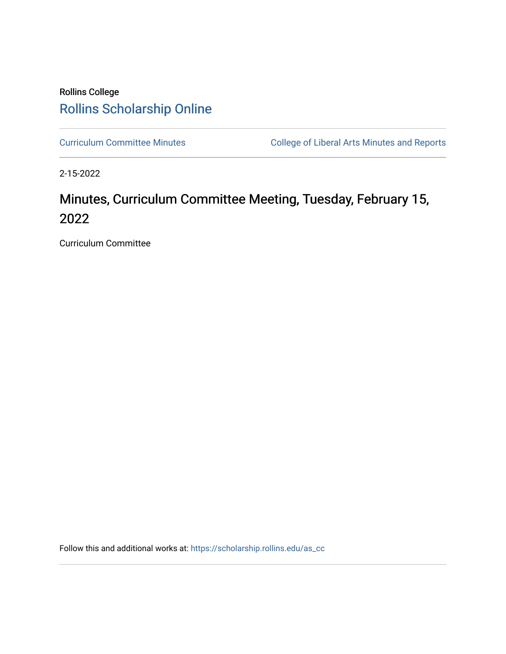## Rollins College [Rollins Scholarship Online](https://scholarship.rollins.edu/)

[Curriculum Committee Minutes](https://scholarship.rollins.edu/as_cc) **College of Liberal Arts Minutes and Reports** 

2-15-2022

# Minutes, Curriculum Committee Meeting, Tuesday, February 15, 2022

Curriculum Committee

Follow this and additional works at: [https://scholarship.rollins.edu/as\\_cc](https://scholarship.rollins.edu/as_cc?utm_source=scholarship.rollins.edu%2Fas_cc%2F113&utm_medium=PDF&utm_campaign=PDFCoverPages)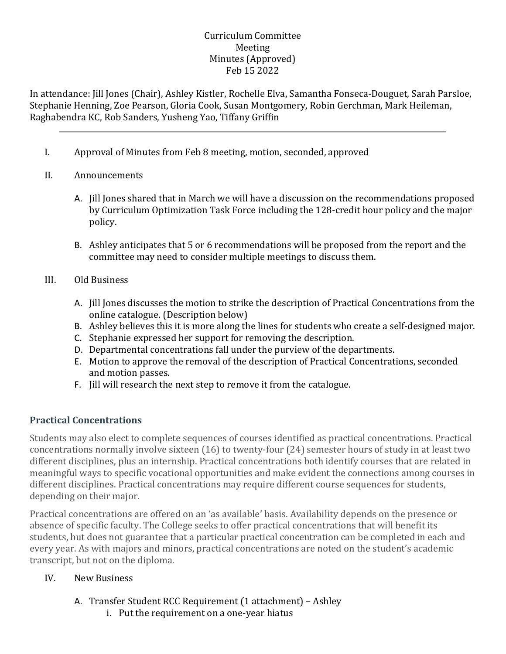#### Curriculum Committee Meeting Minutes (Approved) Feb 15 2022

In attendance: Jill Jones (Chair), Ashley Kistler, Rochelle Elva, Samantha Fonseca-Douguet, Sarah Parsloe, Stephanie Henning, Zoe Pearson, Gloria Cook, Susan Montgomery, Robin Gerchman, Mark Heileman, Raghabendra KC, Rob Sanders, Yusheng Yao, Tiffany Griffin

I. Approval of Minutes from Feb 8 meeting, motion, seconded, approved

#### II. Announcements

- A. Jill Jones shared that in March we will have a discussion on the recommendations proposed by Curriculum Optimization Task Force including the 128-credit hour policy and the major policy.
- B. Ashley anticipates that 5 or 6 recommendations will be proposed from the report and the committee may need to consider multiple meetings to discuss them.
- III. Old Business
	- A. Jill Jones discusses the motion to strike the description of Practical Concentrations from the online catalogue. (Description below)
	- B. Ashley believes this it is more along the lines for students who create a self-designed major.
	- C. Stephanie expressed her support for removing the description.
	- D. Departmental concentrations fall under the purview of the departments.
	- E. Motion to approve the removal of the description of Practical Concentrations, seconded and motion passes.
	- F. Jill will research the next step to remove it from the catalogue.

#### **Practical Concentrations**

Students may also elect to complete sequences of courses identified as practical concentrations. Practical concentrations normally involve sixteen (16) to twenty-four (24) semester hours of study in at least two different disciplines, plus an internship. Practical concentrations both identify courses that are related in meaningful ways to specific vocational opportunities and make evident the connections among courses in different disciplines. Practical concentrations may require different course sequences for students, depending on their major.

Practical concentrations are offered on an 'as available' basis. Availability depends on the presence or absence of specific faculty. The College seeks to offer practical concentrations that will benefit its students, but does not guarantee that a particular practical concentration can be completed in each and every year. As with majors and minors, practical concentrations are noted on the student's academic transcript, but not on the diploma.

#### IV. New Business

- A. Transfer Student RCC Requirement (1 attachment) Ashley
	- i. Put the requirement on a one-year hiatus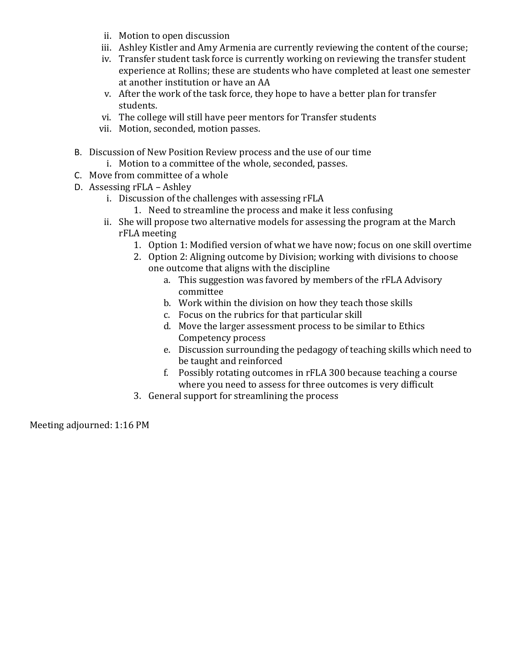- ii. Motion to open discussion
- iii. Ashley Kistler and Amy Armenia are currently reviewing the content of the course;
- iv. Transfer student task force is currently working on reviewing the transfer student experience at Rollins; these are students who have completed at least one semester at another institution or have an AA
- v. After the work of the task force, they hope to have a better plan for transfer students.
- vi. The college will still have peer mentors for Transfer students
- vii. Motion, seconded, motion passes.
- B. Discussion of New Position Review process and the use of our time
	- i. Motion to a committee of the whole, seconded, passes.
- C. Move from committee of a whole
- D. Assessing rFLA Ashley
	- i. Discussion of the challenges with assessing rFLA
		- 1. Need to streamline the process and make it less confusing
	- ii. She will propose two alternative models for assessing the program at the March rFLA meeting
		- 1. Option 1: Modified version of what we have now; focus on one skill overtime
		- 2. Option 2: Aligning outcome by Division; working with divisions to choose one outcome that aligns with the discipline
			- a. This suggestion was favored by members of the rFLA Advisory committee
			- b. Work within the division on how they teach those skills
			- c. Focus on the rubrics for that particular skill
			- d. Move the larger assessment process to be similar to Ethics Competency process
			- e. Discussion surrounding the pedagogy of teaching skills which need to be taught and reinforced
			- f. Possibly rotating outcomes in rFLA 300 because teaching a course where you need to assess for three outcomes is very difficult
		- 3. General support for streamlining the process

Meeting adjourned: 1:16 PM